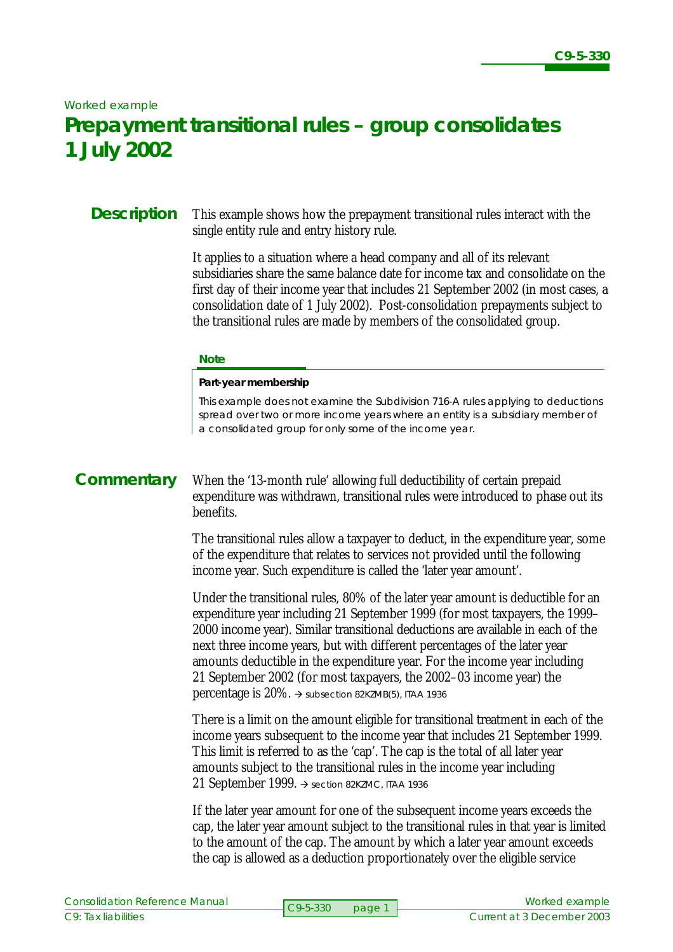#### *Worked example*

# **Prepayment transitional rules – group consolidates 1 July 2002**

### **Description**

This example shows how the prepayment transitional rules interact with the single entity rule and entry history rule.

It applies to a situation where a head company and all of its relevant subsidiaries share the same balance date for income tax and consolidate on the first day of their income year that includes 21 September 2002 (in most cases, a consolidation date of 1 July 2002). Post-consolidation prepayments subject to the transitional rules are made by members of the consolidated group.

#### **Note**

#### **Part-year membership**

This example does not examine the Subdivision 716-A rules applying to deductions spread over two or more income years where an entity is a subsidiary member of a consolidated group for only some of the income year.

### **Commentary**

When the '13-month rule' allowing full deductibility of certain prepaid expenditure was withdrawn, transitional rules were introduced to phase out its benefits.

The transitional rules allow a taxpayer to deduct, in the expenditure year, some of the expenditure that relates to services not provided until the following income year. Such expenditure is called the 'later year amount'.

Under the transitional rules, 80% of the later year amount is deductible for an expenditure year including 21 September 1999 (for most taxpayers, the 1999– 2000 income year). Similar transitional deductions are available in each of the next three income years, but with different percentages of the later year amounts deductible in the expenditure year. For the income year including 21 September 2002 (for most taxpayers, the 2002–03 income year) the percentage is  $20\%$ .  $\rightarrow$  subsection 82KZMB(5), ITAA 1936

There is a limit on the amount eligible for transitional treatment in each of the income years subsequent to the income year that includes 21 September 1999. This limit is referred to as the 'cap'. The cap is the total of all later year amounts subject to the transitional rules in the income year including 21 September 1999.  $\rightarrow$  section 82KZMC, ITAA 1936

If the later year amount for one of the subsequent income years exceeds the cap, the later year amount subject to the transitional rules in that year is limited to the amount of the cap. The amount by which a later year amount exceeds the cap is allowed as a deduction proportionately over the eligible service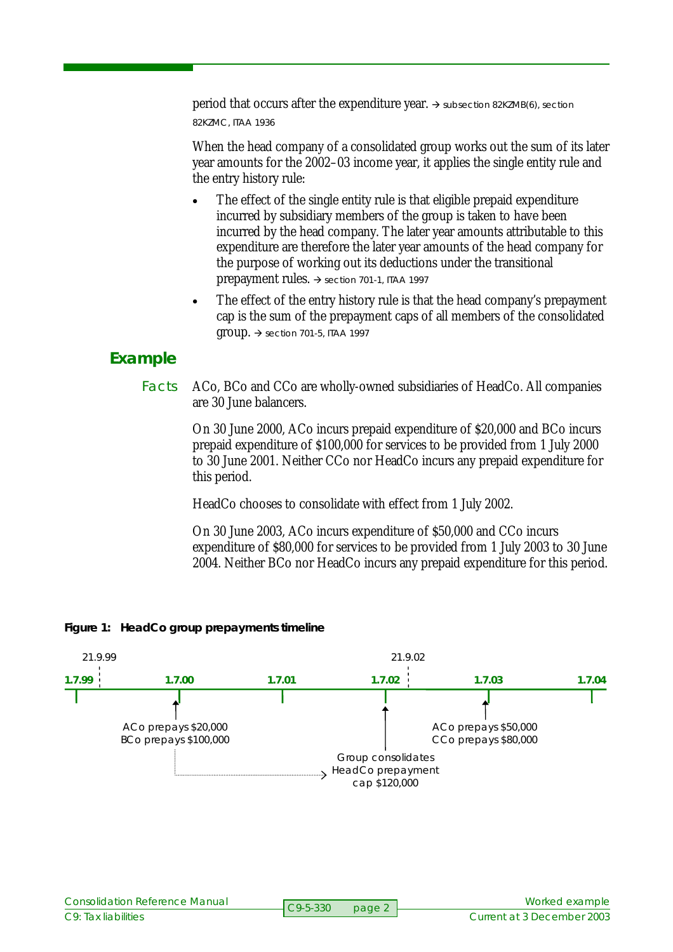period that occurs after the expenditure year.  $\rightarrow$  subsection 82KZMB(6), section 82KZMC, ITAA 1936

When the head company of a consolidated group works out the sum of its later year amounts for the 2002–03 income year, it applies the single entity rule and the entry history rule:

- The effect of the single entity rule is that eligible prepaid expenditure incurred by subsidiary members of the group is taken to have been incurred by the head company. The later year amounts attributable to this expenditure are therefore the later year amounts of the head company for the purpose of working out its deductions under the transitional prepayment rules.  $\rightarrow$  section 701-1, ITAA 1997
- The effect of the entry history rule is that the head company's prepayment cap is the sum of the prepayment caps of all members of the consolidated  $group. \rightarrow$  section 701-5, ITAA 1997

## **Example**

ACo, BCo and CCo are wholly-owned subsidiaries of HeadCo. All companies are 30 June balancers. Facts

> On 30 June 2000, ACo incurs prepaid expenditure of \$20,000 and BCo incurs prepaid expenditure of \$100,000 for services to be provided from 1 July 2000 to 30 June 2001. Neither CCo nor HeadCo incurs any prepaid expenditure for this period.

HeadCo chooses to consolidate with effect from 1 July 2002.

On 30 June 2003, ACo incurs expenditure of \$50,000 and CCo incurs expenditure of \$80,000 for services to be provided from 1 July 2003 to 30 June 2004. Neither BCo nor HeadCo incurs any prepaid expenditure for this period.



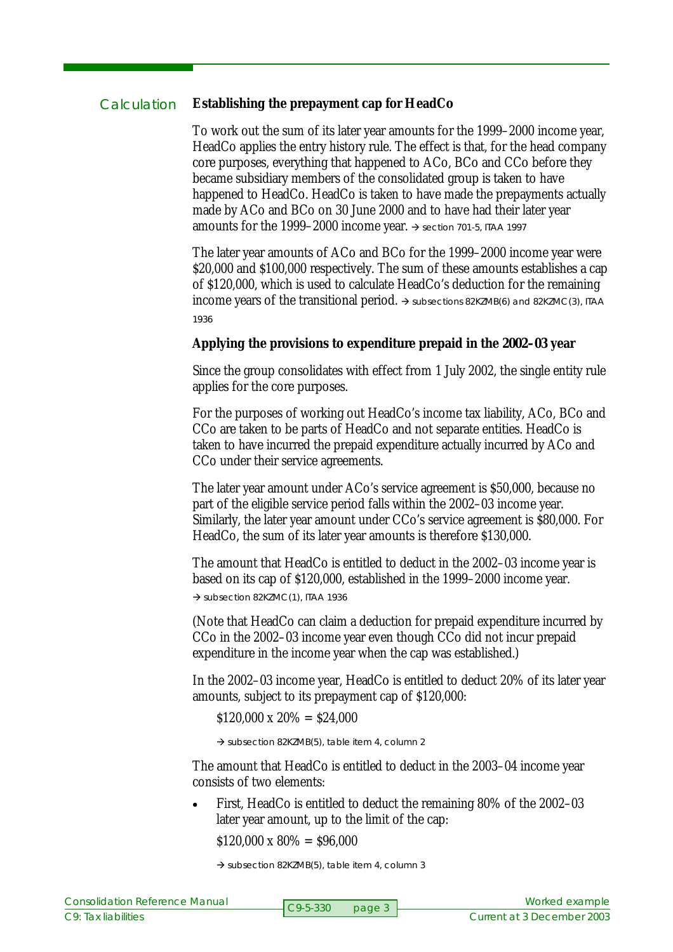#### **Establishing the prepayment cap for HeadCo Calculation**

To work out the sum of its later year amounts for the 1999–2000 income year, HeadCo applies the entry history rule. The effect is that, for the head company core purposes, everything that happened to ACo, BCo and CCo before they became subsidiary members of the consolidated group is taken to have happened to HeadCo. HeadCo is taken to have made the prepayments actually made by ACo and BCo on 30 June 2000 and to have had their later year amounts for the 1999–2000 income year.  $\rightarrow$  section 701-5, ITAA 1997

The later year amounts of ACo and BCo for the 1999–2000 income year were \$20,000 and \$100,000 respectively. The sum of these amounts establishes a cap of \$120,000, which is used to calculate HeadCo's deduction for the remaining income years of the transitional period.  $\rightarrow$  subsections 82KZMB(6) and 82KZMC(3), ITAA 1936

### **Applying the provisions to expenditure prepaid in the 2002–03 year**

Since the group consolidates with effect from 1 July 2002, the single entity rule applies for the core purposes.

For the purposes of working out HeadCo's income tax liability, ACo, BCo and CCo are taken to be parts of HeadCo and not separate entities. HeadCo is taken to have incurred the prepaid expenditure actually incurred by ACo and CCo under their service agreements.

The later year amount under ACo's service agreement is \$50,000, because no part of the eligible service period falls within the 2002–03 income year. Similarly, the later year amount under CCo's service agreement is \$80,000. For HeadCo, the sum of its later year amounts is therefore \$130,000.

The amount that HeadCo is entitled to deduct in the 2002–03 income year is based on its cap of \$120,000, established in the 1999–2000 income year.

 $\rightarrow$  subsection 82KZMC(1), ITAA 1936

(Note that HeadCo can claim a deduction for prepaid expenditure incurred by CCo in the 2002–03 income year even though CCo did not incur prepaid expenditure in the income year when the cap was established.)

In the 2002–03 income year, HeadCo is entitled to deduct 20% of its later year amounts, subject to its prepayment cap of \$120,000:

 $$120,000 \times 20\% = $24,000$ 

 $\rightarrow$  subsection 82KZMB(5), table item 4, column 2

The amount that HeadCo is entitled to deduct in the 2003–04 income year consists of two elements:

• First, HeadCo is entitled to deduct the remaining 80% of the 2002–03 later year amount, up to the limit of the cap:

 $$120,000 \times 80\% = $96,000$ 

 $\rightarrow$  subsection 82KZMB(5), table item 4, column 3